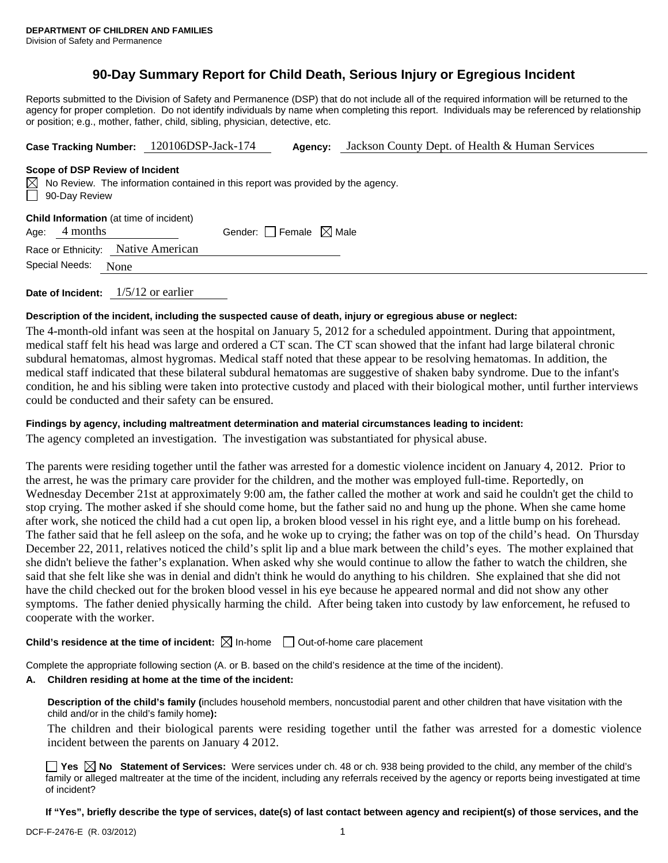# **90-Day Summary Report for Child Death, Serious Injury or Egregious Incident**

Reports submitted to the Division of Safety and Permanence (DSP) that do not include all of the required information will be returned to the agency for proper completion. Do not identify individuals by name when completing this report. Individuals may be referenced by relationship or position; e.g., mother, father, child, sibling, physician, detective, etc.

| Case Tracking Number: 120106DSP-Jack-174 | Jackson County Dept. of Health & Human Services<br><b>Agency:</b> |
|------------------------------------------|-------------------------------------------------------------------|
|------------------------------------------|-------------------------------------------------------------------|

#### **Scope of DSP Review of Incident**

|               | $\boxtimes$ No Review. The information contained in this report was provided by the agency. |
|---------------|---------------------------------------------------------------------------------------------|
| 90-Day Review |                                                                                             |

| <b>Child Information</b> (at time of incident) |               |                                        |  |  |  |
|------------------------------------------------|---------------|----------------------------------------|--|--|--|
|                                                | Age: 4 months | Gender: $\Box$ Female $\boxtimes$ Male |  |  |  |

|--|

| Special Needs: | None |  |
|----------------|------|--|
|----------------|------|--|

**Date of Incident:** 1/5/12 or earlier

## **Description of the incident, including the suspected cause of death, injury or egregious abuse or neglect:**

The 4-month-old infant was seen at the hospital on January 5, 2012 for a scheduled appointment. During that appointment, medical staff felt his head was large and ordered a CT scan. The CT scan showed that the infant had large bilateral chronic subdural hematomas, almost hygromas. Medical staff noted that these appear to be resolving hematomas. In addition, the medical staff indicated that these bilateral subdural hematomas are suggestive of shaken baby syndrome. Due to the infant's condition, he and his sibling were taken into protective custody and placed with their biological mother, until further interviews could be conducted and their safety can be ensured.

## **Findings by agency, including maltreatment determination and material circumstances leading to incident:**

The agency completed an investigation. The investigation was substantiated for physical abuse.

The parents were residing together until the father was arrested for a domestic violence incident on January 4, 2012. Prior to the arrest, he was the primary care provider for the children, and the mother was employed full-time. Reportedly, on Wednesday December 21st at approximately 9:00 am, the father called the mother at work and said he couldn't get the child to stop crying. The mother asked if she should come home, but the father said no and hung up the phone. When she came home after work, she noticed the child had a cut open lip, a broken blood vessel in his right eye, and a little bump on his forehead. The father said that he fell asleep on the sofa, and he woke up to crying; the father was on top of the child's head. On Thursday December 22, 2011, relatives noticed the child's split lip and a blue mark between the child's eyes. The mother explained that she didn't believe the father's explanation. When asked why she would continue to allow the father to watch the children, she said that she felt like she was in denial and didn't think he would do anything to his children. She explained that she did not have the child checked out for the broken blood vessel in his eye because he appeared normal and did not show any other symptoms. The father denied physically harming the child. After being taken into custody by law enforcement, he refused to cooperate with the worker.

## **Child's residence at the time of incident:**  $\boxtimes$  In-home  $\Box$  Out-of-home care placement

Complete the appropriate following section (A. or B. based on the child's residence at the time of the incident).

## **A. Children residing at home at the time of the incident:**

**Description of the child's family (**includes household members, noncustodial parent and other children that have visitation with the child and/or in the child's family home**):** 

The children and their biological parents were residing together until the father was arrested for a domestic violence incident between the parents on January 4 2012.

■ Yes △ No Statement of Services: Were services under ch. 48 or ch. 938 being provided to the child, any member of the child's family or alleged maltreater at the time of the incident, including any referrals received by the agency or reports being investigated at time of incident?

**If "Yes", briefly describe the type of services, date(s) of last contact between agency and recipient(s) of those services, and the**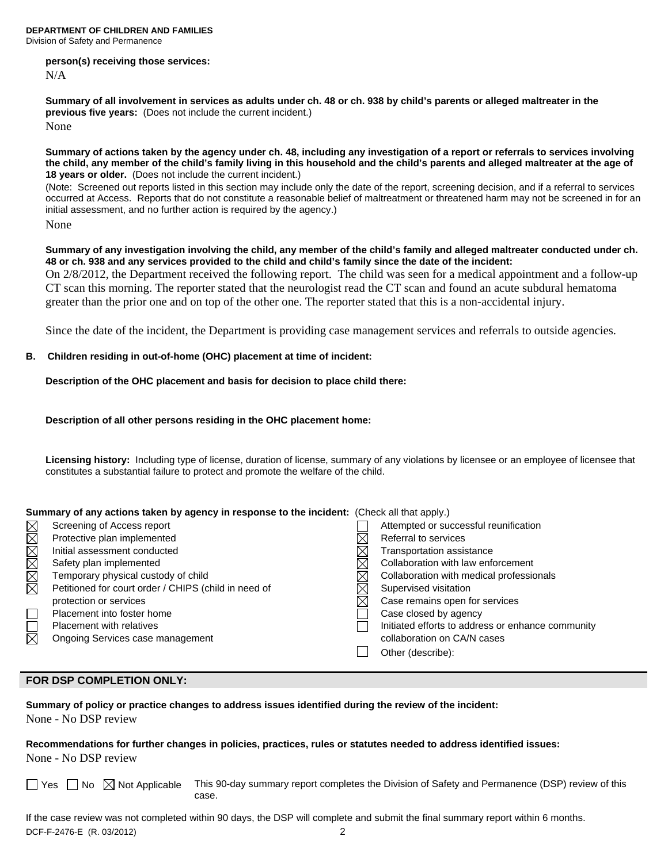**DEPARTMENT OF CHILDREN AND FAMILIES**  Division of Safety and Permanence

## **person(s) receiving those services:**

N/A

**Summary of all involvement in services as adults under ch. 48 or ch. 938 by child's parents or alleged maltreater in the previous five years:** (Does not include the current incident.) None

**Summary of actions taken by the agency under ch. 48, including any investigation of a report or referrals to services involving the child, any member of the child's family living in this household and the child's parents and alleged maltreater at the age of 18 years or older.** (Does not include the current incident.)

(Note: Screened out reports listed in this section may include only the date of the report, screening decision, and if a referral to services occurred at Access. Reports that do not constitute a reasonable belief of maltreatment or threatened harm may not be screened in for an initial assessment, and no further action is required by the agency.)

None

**Summary of any investigation involving the child, any member of the child's family and alleged maltreater conducted under ch. 48 or ch. 938 and any services provided to the child and child's family since the date of the incident:** 

On 2/8/2012, the Department received the following report. The child was seen for a medical appointment and a follow-up CT scan this morning. The reporter stated that the neurologist read the CT scan and found an acute subdural hematoma greater than the prior one and on top of the other one. The reporter stated that this is a non-accidental injury.

Since the date of the incident, the Department is providing case management services and referrals to outside agencies.

## **B. Children residing in out-of-home (OHC) placement at time of incident:**

**Description of the OHC placement and basis for decision to place child there:** 

**Description of all other persons residing in the OHC placement home:** 

**Licensing history:** Including type of license, duration of license, summary of any violations by licensee or an employee of licensee that constitutes a substantial failure to protect and promote the welfare of the child.

| Summary of any actions taken by agency in response to the incident: (Check all that apply.) |                                                      |  |                                                   |
|---------------------------------------------------------------------------------------------|------------------------------------------------------|--|---------------------------------------------------|
|                                                                                             | Screening of Access report                           |  | Attempted or successful reunification             |
| MMMMMM                                                                                      | Protective plan implemented                          |  | Referral to services                              |
|                                                                                             | Initial assessment conducted                         |  | Transportation assistance                         |
|                                                                                             | Safety plan implemented                              |  | Collaboration with law enforcement                |
|                                                                                             | Temporary physical custody of child                  |  | Collaboration with medical professionals          |
|                                                                                             | Petitioned for court order / CHIPS (child in need of |  | Supervised visitation                             |
|                                                                                             | protection or services                               |  | Case remains open for services                    |
| $\Box$                                                                                      | Placement into foster home                           |  | Case closed by agency                             |
| $\overline{\boxtimes}$                                                                      | <b>Placement with relatives</b>                      |  | Initiated efforts to address or enhance community |
|                                                                                             | Ongoing Services case management                     |  | collaboration on CA/N cases                       |
|                                                                                             |                                                      |  | Other (describe):                                 |

## **FOR DSP COMPLETION ONLY:**

**Summary of policy or practice changes to address issues identified during the review of the incident:**  None - No DSP review

**Recommendations for further changes in policies, practices, rules or statutes needed to address identified issues:**  None - No DSP review

 $\Box$  Yes  $\Box$  No  $\boxtimes$  Not Applicable This 90-day summary report completes the Division of Safety and Permanence (DSP) review of this case.

DCF-F-2476-E (R. 03/2012) 2 If the case review was not completed within 90 days, the DSP will complete and submit the final summary report within 6 months.